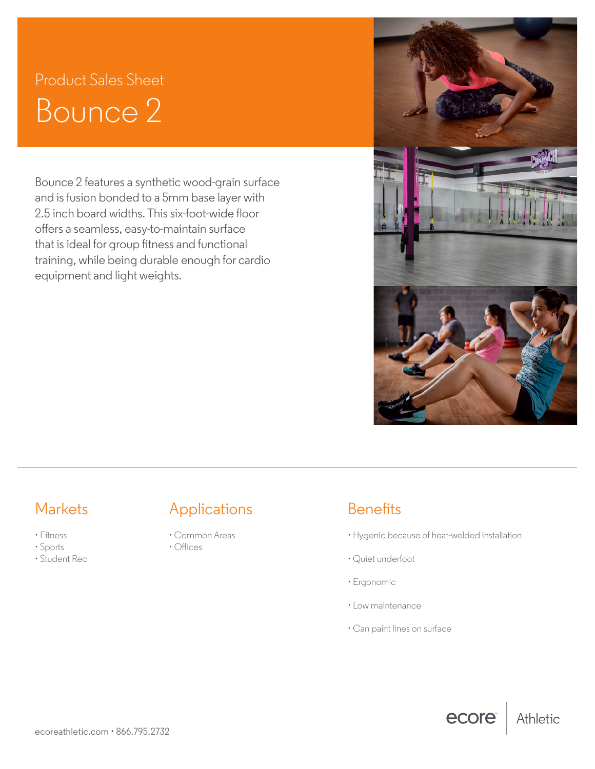# Product Sales Sheet Bounce 2

Bounce 2 features a synthetic wood-grain surface and is fusion bonded to a 5mm base layer with 2.5 inch board widths. This six-foot-wide floor offers a seamless, easy-to-maintain surface that is ideal for group fitness and functional training, while being durable enough for cardio equipment and light weights.



- Fitness
- Sports
- Student Rec

## Markets **Applications** Benefits

- Common Areas
- Offices

• Hygenic because of heat-welded installation

ecore

Athletic

- Quiet underfoot
- Ergonomic
- Low maintenance
- Can paint lines on surface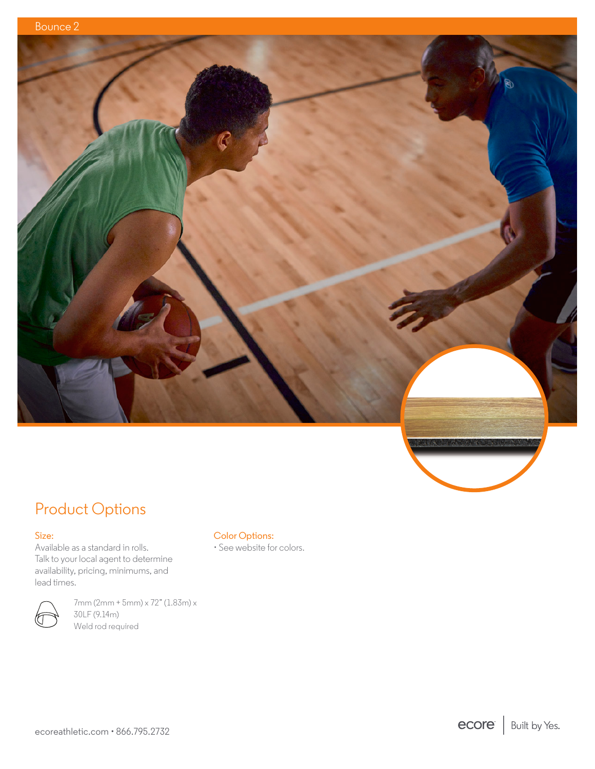

## Product Options

### Size:

Available as a standard in rolls. Talk to your local agent to determine availability, pricing, minimums, and lead times.



7mm (2mm + 5mm) x 72" (1.83m) x 30LF (9.14m) Weld rod required

### Color Options:

• See website for colors.